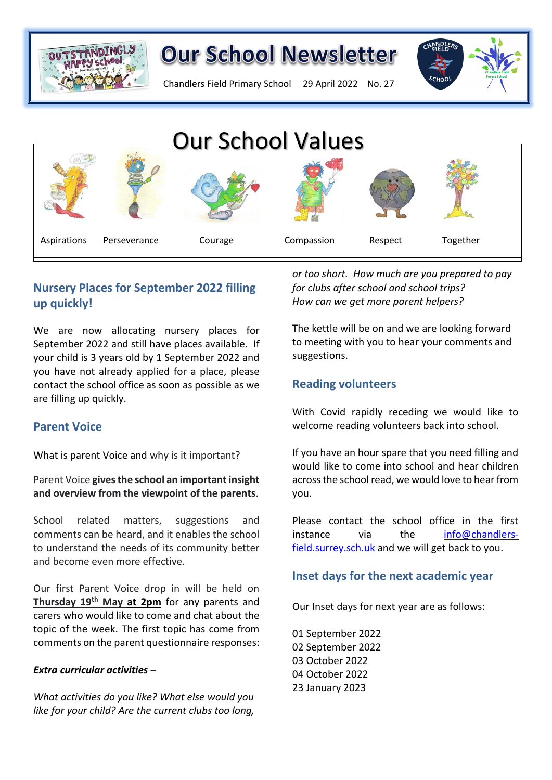

Chandlers Field Primary School 29 April 2022 No. 27





## **Nursery Places for September 2022 filling up quickly!**

We are now allocating nursery places for September 2022 and still have places available. If your child is 3 years old by 1 September 2022 and suggestions. you have not already applied for a place, please contact the school office as soon as possible as we are filling up quickly.

### **Parent Voice**

What is parent Voice and why is it important?

Parent Voice **gives the school an important insight and overview from the viewpoint of the parents**.

School related matters, suggestions and comments can be heard, and it enables the school to understand the needs of its community better and become even more effective.

Our first Parent Voice drop in will be held on **Thursday 19th May at 2pm** for any parents and carers who would like to come and chat about the topic of the week. The first topic has come from comments on the parent questionnaire responses:

#### *Extra curricular activities –*

*What activities do you like? What else would you like for your child? Are the current clubs too long,* 

*or too short. How much are you prepared to pay for clubs after school and school trips? How can we get more parent helpers?*

The kettle will be on and we are looking forward to meeting with you to hear your comments and suggestions.

### **Reading volunteers**

With Covid rapidly receding we would like to welcome reading volunteers back into school.

If you have an hour spare that you need filling and would like to come into school and hear children across the school read, we would love to hear from you.

Please contact the school office in the first instance via the [info@chandlers](mailto:info@chandlers-field.surrey.sch.uk)[field.surrey.sch.uk](mailto:info@chandlers-field.surrey.sch.uk) and we will get back to you.

## **Inset days for the next academic year**

Our Inset days for next year are as follows:

01 September 2022 02 September 2022 03 October 2022 04 October 2022 23 January 2023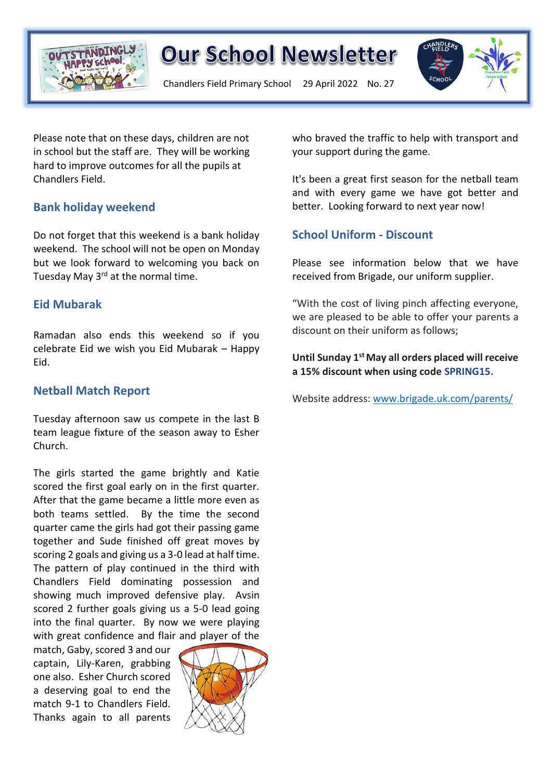

Chandlers Field Primary School 29 April 2022 No. 27



Please note that on these days, children are not in school but the staff are. They will be working hard to improve outcomes for all the pupils at Chandlers Field.

### **Bank holiday weekend**

Do not forget that this weekend is a bank holiday weekend. The school will not be open on Monday but we look forward to welcoming you back on Tuesday May 3<sup>rd</sup> at the normal time.

### **Eid Mubarak**

Ramadan also ends this weekend so if you celebrate Eid we wish you Eid Mubarak – Happy Eid.

### **Netball Match Report**

Tuesday afternoon saw us compete in the last B team league fixture of the season away to Esher Church.

The girls started the game brightly and Katie scored the first goal early on in the first quarter. After that the game became a little more even as both teams settled. By the time the second quarter came the girls had got their passing game together and Sude finished off great moves by scoring 2 goals and giving us a 3-0 lead at half time. The pattern of play continued in the third with Chandlers Field dominating possession and showing much improved defensive play. Avsin scored 2 further goals giving us a 5-0 lead going into the final quarter. By now we were playing with great confidence and flair and player of the

match, Gaby, scored 3 and our captain, Lily-Karen, grabbing one also. Esher Church scored a deserving goal to end the match 9-1 to Chandlers Field. Thanks again to all parents



who braved the traffic to help with transport and your support during the game.

It's been a great first season for the netball team and with every game we have got better and better. Looking forward to next year now!

### **School Uniform - Discount**

Please see information below that we have received from Brigade, our uniform supplier.

"With the cost of living pinch affecting everyone, we are pleased to be able to offer your parents a discount on their uniform as follows;

#### **Until Sunday 1stMay all orders placed will receive a 15% discount when using code SPRING15.**

Website address: [www.brigade.uk.com/parents/](http://www.brigade.uk.com/parents/)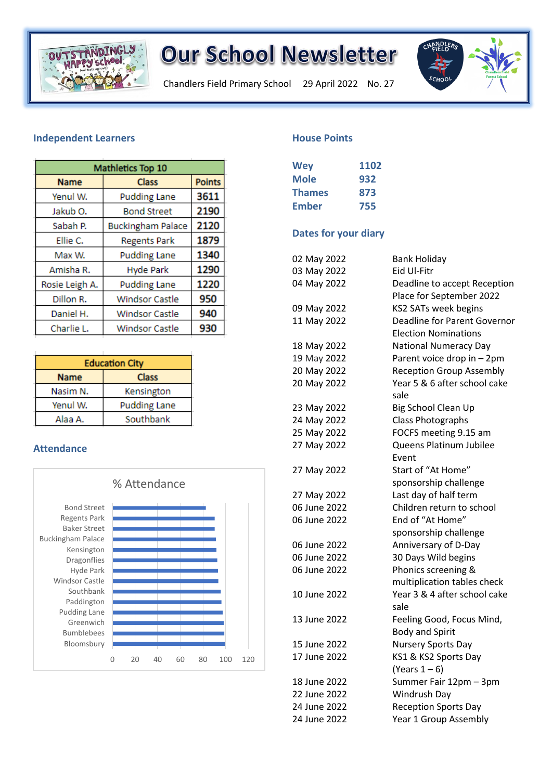

Chandlers Field Primary School 29 April 2022 No. 27



#### **Independent Learners**

| Mathletics Top 10 |                          |               |
|-------------------|--------------------------|---------------|
| <b>Name</b>       | <b>Class</b>             | <b>Points</b> |
| Yenul W.          | <b>Pudding Lane</b>      | 3611          |
| Jakub O.          | <b>Bond Street</b>       | 2190          |
| Sabah P.          | <b>Buckingham Palace</b> | 2120          |
| Ellie C.          | <b>Regents Park</b>      | 1879          |
| Max W.            | <b>Pudding Lane</b>      | 1340          |
| Amisha R.         | <b>Hyde Park</b>         | 1290          |
| Rosie Leigh A.    | <b>Pudding Lane</b>      | 1220          |
| Dillon R.         | <b>Windsor Castle</b>    | 950           |
| Daniel H.         | <b>Windsor Castle</b>    | 940           |
| Charlie L.        | <b>Windsor Castle</b>    | 930           |

| <b>Education City</b> |                     |  |
|-----------------------|---------------------|--|
| <b>Name</b>           | <b>Class</b>        |  |
| Nasim N.              | Kensington          |  |
| Yenul W.              | <b>Pudding Lane</b> |  |
| Alaa A.               | Southbank           |  |

#### **Attendance**



#### **House Points**

| 1102 |
|------|
| 932  |
| 873  |
| 755  |
|      |

#### **Dates for your diary**

| 02 May 2022  | <b>Bank Holiday</b>                  |
|--------------|--------------------------------------|
| 03 May 2022  | Eid UI-Fitr                          |
| 04 May 2022  | Deadline to accept Reception         |
|              | Place for September 2022             |
| 09 May 2022  | <b>KS2 SATs week begins</b>          |
| 11 May 2022  | Deadline for Parent Governor         |
|              | <b>Election Nominations</b>          |
| 18 May 2022  | <b>National Numeracy Day</b>         |
| 19 May 2022  | Parent voice drop in - 2pm           |
| 20 May 2022  | <b>Reception Group Assembly</b>      |
| 20 May 2022  | Year 5 & 6 after school cake<br>sale |
| 23 May 2022  | Big School Clean Up                  |
| 24 May 2022  | Class Photographs                    |
| 25 May 2022  | FOCFS meeting 9.15 am                |
| 27 May 2022  | Queens Platinum Jubilee              |
|              | Event                                |
| 27 May 2022  | Start of "At Home"                   |
|              | sponsorship challenge                |
| 27 May 2022  | Last day of half term                |
| 06 June 2022 | Children return to school            |
| 06 June 2022 | End of "At Home"                     |
|              | sponsorship challenge                |
| 06 June 2022 | Anniversary of D-Day                 |
| 06 June 2022 | 30 Days Wild begins                  |
| 06 June 2022 | Phonics screening &                  |
|              | multiplication tables check          |
| 10 June 2022 | Year 3 & 4 after school cake         |
|              | sale                                 |
| 13 June 2022 | Feeling Good, Focus Mind,            |
|              | <b>Body and Spirit</b>               |
| 15 June 2022 | <b>Nursery Sports Day</b>            |
| 17 June 2022 | KS1 & KS2 Sports Day                 |
|              | (Years $1-6$ )                       |
| 18 June 2022 | Summer Fair 12pm - 3pm               |
| 22 June 2022 | Windrush Day                         |
| 24 June 2022 | <b>Reception Sports Day</b>          |
| 24 June 2022 | Year 1 Group Assembly                |
|              |                                      |